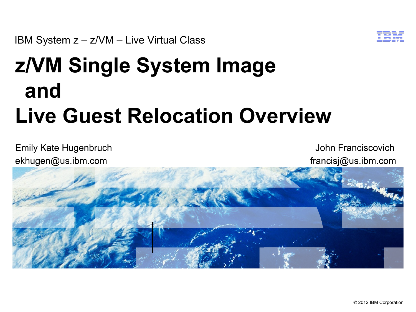

# **z/VM Single System Image and Live Guest Relocation Overview**

Emily Kate Hugenbruch **Galacter Contract Contract Contract Contract Contract Contract Contract Contract Contract Contract Contract Contract Contract Contract Contract Contract Contract Contract Contract Contract Contract C** ekhugen@us.ibm.com francisj@us.ibm.com

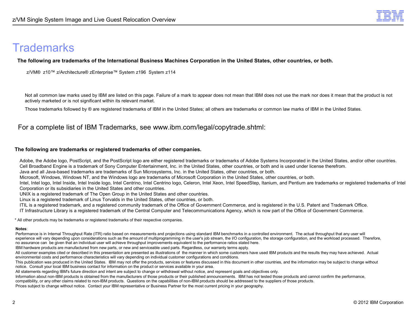

#### **Trademarks**

**The following are trademarks of the International Business Machines Corporation in the United States, other countries, or both.**

z/VM® z10™ z/Architecture® zEnterprise™ System z196 System z114

Not all common law marks used by IBM are listed on this page. Failure of a mark to appear does not mean that IBM does not use the mark nor does it mean that the product is not actively marketed or is not significant within its relevant market.

Those trademarks followed by ® are registered trademarks of IBM in the United States; all others are trademarks or common law marks of IBM in the United States.

#### For a complete list of IBM Trademarks, see www.ibm.com/legal/copytrade.shtml:

#### **The following are trademarks or registered trademarks of other companies.**

Adobe, the Adobe logo, PostScript, and the PostScript logo are either registered trademarks or trademarks of Adobe Systems Incorporated in the United States, and/or other countries. Cell Broadband Engine is a trademark of Sony Computer Entertainment, Inc. in the United States, other countries, or both and is used under license therefrom.

Java and all Java-based trademarks are trademarks of Sun Microsystems, Inc. in the United States, other countries, or both.

Microsoft, Windows, Windows NT, and the Windows logo are trademarks of Microsoft Corporation in the United States, other countries, or both.

Intel, Intel logo, Intel Inside, Intel Inside logo, Intel Centrino, Intel Centrino logo, Celeron, Intel Xeon, Intel SpeedStep, Itanium, and Pentium are trademarks or registered trademarks of Intel Corporation or its subsidiaries in the United States and other countries.

UNIX is a registered trademark of The Open Group in the United States and other countries.

Linux is a registered trademark of Linus Torvalds in the United States, other countries, or both.

ITIL is a registered trademark, and a registered community trademark of the Office of Government Commerce, and is registered in the U.S. Patent and Trademark Office.

IT Infrastructure Library is a registered trademark of the Central Computer and Telecommunications Agency, which is now part of the Office of Government Commerce.

\* All other products may be trademarks or registered trademarks of their respective companies.

#### **Notes**:

Performance is in Internal Throughput Rate (ITR) ratio based on measurements and projections using standard IBM benchmarks in a controlled environment. The actual throughput that any user will experience will vary depending upon considerations such as the amount of multiprogramming in the user's job stream, the I/O configuration, the storage configuration, and the workload processed. Therefore, no assurance can be given that an individual user will achieve throughput improvements equivalent to the performance ratios stated here.

IBM hardware products are manufactured from new parts, or new and serviceable used parts. Regardless, our warranty terms apply.

All customer examples cited or described in this presentation are presented as illustrations of the manner in which some customers have used IBM products and the results they may have achieved. Actual environmental costs and performance characteristics will vary depending on individual customer configurations and conditions.

This publication was produced in the United States. IBM may not offer the products, services or features discussed in this document in other countries, and the information may be subject to change without notice. Consult your local IBM business contact for information on the product or services available in your area.

All statements regarding IBM's future direction and intent are subject to change or withdrawal without notice, and represent goals and objectives only.

Information about non-IBM products is obtained from the manufacturers of those products or their published announcements. IBM has not tested those products and cannot confirm the performance, compatibility, or any other claims related to non-IBM products. Questions on the capabilities of non-IBM products should be addressed to the suppliers of those products.

Prices subject to change without notice. Contact your IBM representative or Business Partner for the most current pricing in your geography.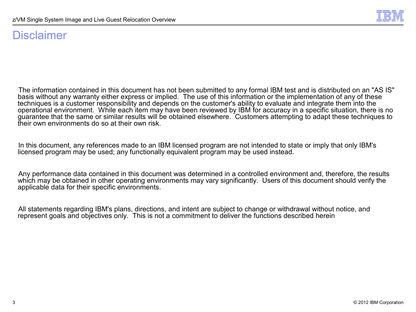#### **Disclaimer**



 The information contained in this document has not been submitted to any formal IBM test and is distributed on an "AS IS" basis without any warranty either express or implied. The use of this information or the implementation of any of these techniques is a customer responsibility and depends on the customer's ability to evaluate and integrate them into the operational environment. While each item may have been reviewed by IBM for accuracy in a specific situation, there is no guarantee that the same or similar results will be obtained elsewhere. Customers attempting to adapt these techniques to their own environments do so at their own risk.

 In this document, any references made to an IBM licensed program are not intended to state or imply that only IBM's licensed program may be used; any functionally equivalent program may be used instead.

 Any performance data contained in this document was determined in a controlled environment and, therefore, the results which may be obtained in other operating environments may vary significantly. Users of this document should verify the applicable data for their specific environments.

 All statements regarding IBM's plans, directions, and intent are subject to change or withdrawal without notice, and represent goals and objectives only. This is not a commitment to deliver the functions described herein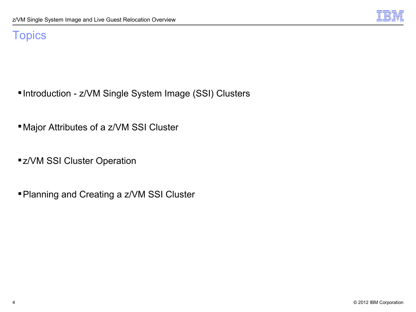#### **Topics**

- Introduction z/VM Single System Image (SSI) Clusters
- Major Attributes of a z/VM SSI Cluster
- **-Z/VM SSI Cluster Operation**
- Planning and Creating a z/VM SSI Cluster

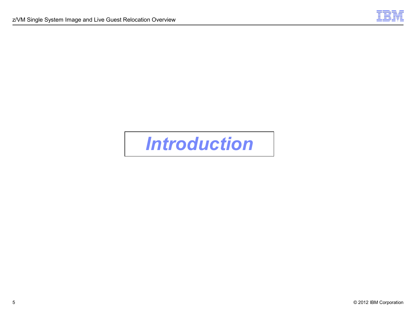

## *Introduction*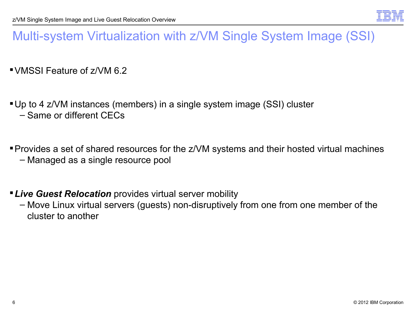

#### Multi-system Virtualization with z/VM Single System Image (SSI)

- VMSSI Feature of z/VM 6.2
- Up to 4 z/VM instances (members) in a single system image (SSI) cluster – Same or different CECs
- Provides a set of shared resources for the z/VM systems and their hosted virtual machines – Managed as a single resource pool
- *Live Guest Relocation* provides virtual server mobility
	- Move Linux virtual servers (guests) non-disruptively from one from one member of the cluster to another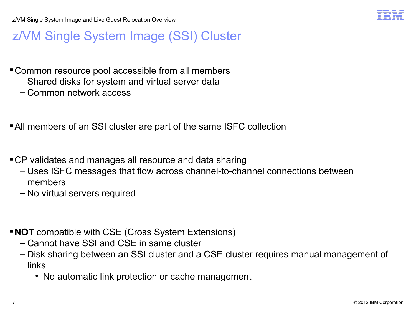

## z/VM Single System Image (SSI) Cluster

- Common resource pool accessible from all members
	- Shared disks for system and virtual server data
	- Common network access
- All members of an SSI cluster are part of the same ISFC collection
- CP validates and manages all resource and data sharing
	- Uses ISFC messages that flow across channel-to-channel connections between members
	- No virtual servers required
- **NOT** compatible with CSE (Cross System Extensions)
	- Cannot have SSI and CSE in same cluster
	- Disk sharing between an SSI cluster and a CSE cluster requires manual management of links
		- No automatic link protection or cache management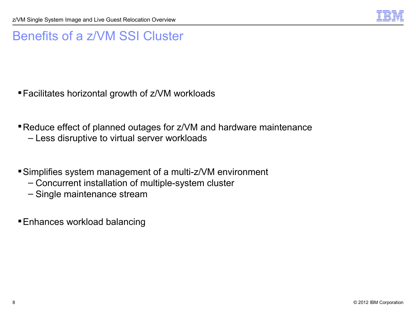

#### Benefits of a z/VM SSI Cluster

- Facilitates horizontal growth of z/VM workloads
- Reduce effect of planned outages for z/VM and hardware maintenance
	- Less disruptive to virtual server workloads
- Simplifies system management of a multi-z/VM environment
	- Concurrent installation of multiple-system cluster
	- Single maintenance stream
- Enhances workload balancing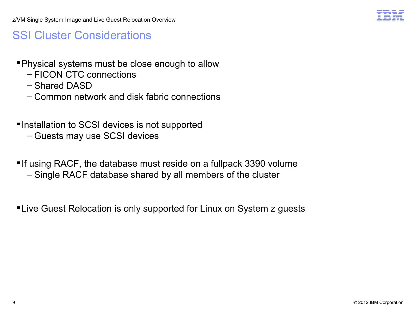

#### SSI Cluster Considerations

- Physical systems must be close enough to allow
	- FICON CTC connections
	- Shared DASD
	- Common network and disk fabric connections
- Installation to SCSI devices is not supported
	- Guests may use SCSI devices

If using RACF, the database must reside on a fullpack 3390 volume

– Single RACF database shared by all members of the cluster

**-Live Guest Relocation is only supported for Linux on System z guests**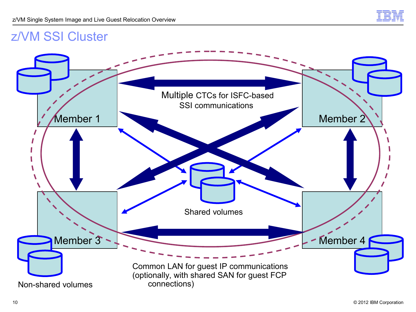

## z/VM SSI Cluster

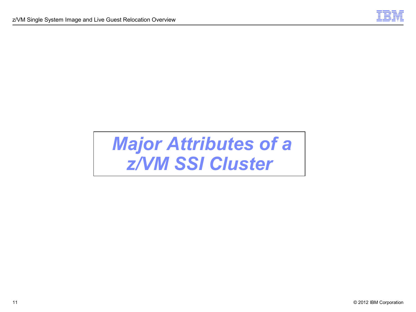

## *Major Attributes of a z/VM SSI Cluster*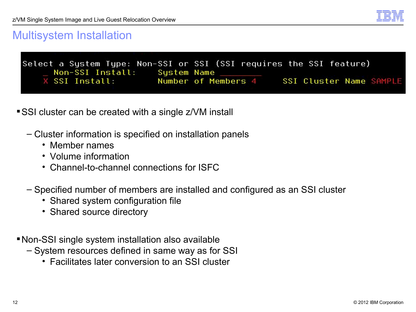

#### Multisystem Installation



- SSI cluster can be created with a single z/VM install
	- Cluster information is specified on installation panels
		- Member names
		- Volume information
		- Channel-to-channel connections for ISFC
	- Specified number of members are installed and configured as an SSI cluster
		- Shared system configuration file
		- Shared source directory
- Non-SSI single system installation also available
	- System resources defined in same way as for SSI
		- Facilitates later conversion to an SSI cluster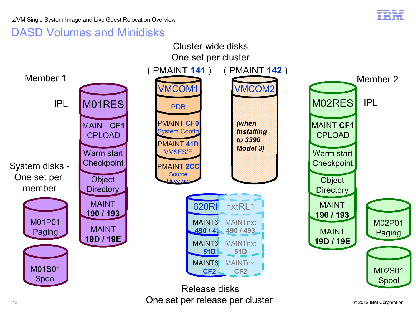

#### DASD Volumes and Minidisks

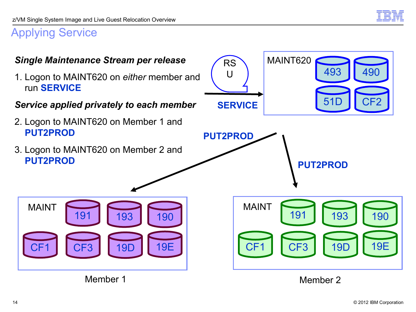## Applying Service



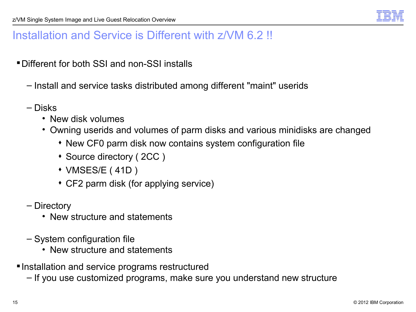

### Installation and Service is Different with z/VM 6.2 !!

- Different for both SSI and non-SSI installs
	- Install and service tasks distributed among different "maint" userids
	- Disks
		- New disk volumes
		- Owning userids and volumes of parm disks and various minidisks are changed
			- New CF0 parm disk now contains system configuration file
			- Source directory ( 2CC )
			- VMSES/E ( 41D )
			- CF2 parm disk (for applying service)
	- Directory
		- New structure and statements
	- System configuration file
		- New structure and statements
- Installation and service programs restructured
	- If you use customized programs, make sure you understand new structure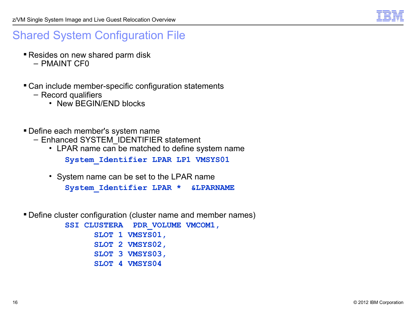

#### Shared System Configuration File

- Resides on new shared parm disk
	- PMAINT CF0
- Can include member-specific configuration statements
	- Record qualifiers
		- New BEGIN/END blocks
- Define each member's system name
	- Enhanced SYSTEM\_IDENTIFIER statement
		- LPAR name can be matched to define system name

**System\_Identifier LPAR LP1 VMSYS01**

• System name can be set to the LPAR name

**System\_Identifier LPAR \* &LPARNAME**

Define cluster configuration (cluster name and member names)

```
SSI CLUSTERA PDR_VOLUME VMCOM1,
       SLOT 1 VMSYS01, 
       SLOT 2 VMSYS02, 
       SLOT 3 VMSYS03, 
       SLOT 4 VMSYS04
```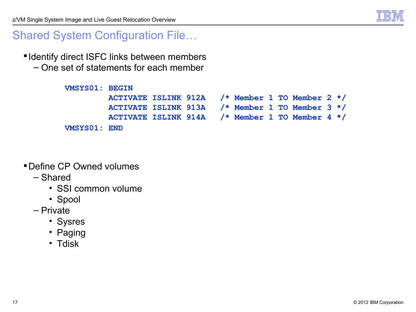

#### Shared System Configuration File…

**Identify direct ISFC links between members** – One set of statements for each member

```
VMSYS01: BEGIN 
          ACTIVATE ISLINK 912A /* Member 1 TO Member 2 */
          ACTIVATE ISLINK 913A /* Member 1 TO Member 3 */
          ACTIVATE ISLINK 914A /* Member 1 TO Member 4 */
VMSYS01: END
```
- Define CP Owned volumes
	- Shared
		- SSI common volume
		- Spool
	- Private
		- Sysres
		- Paging
		- Tdisk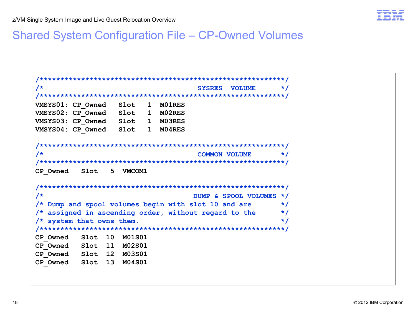

#### Shared System Configuration File – CP-Owned Volumes

```
/***********************************************************/
/* SYSRES VOLUME */
/***********************************************************/
VMSYS01: CP_Owned Slot 1 M01RES
VMSYS02: CP_Owned Slot 1 M02RES
VMSYS03: CP_Owned Slot 1 M03RES
VMSYS04: CP_Owned Slot 1 M04RES
/***********************************************************/
/* COMMON VOLUME */
/***********************************************************/
CP_Owned Slot 5 VMCOM1 
/***********************************************************/
/* DUMP & SPOOL VOLUMES */
/* Dump and spool volumes begin with slot 10 and are */
/* assigned in ascending order, without regard to the */
/* system that owns them. */
/***********************************************************/
CP_Owned Slot 10 M01S01
CP_Owned Slot 11 M02S01
CP_Owned Slot 12 M03S01
CP_Owned Slot 13 M04S01
```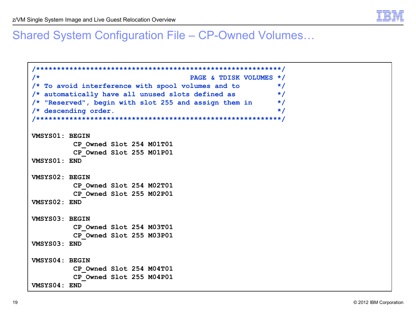

#### Shared System Configuration File – CP-Owned Volumes…

```
/***********************************************************/
/* PAGE & TDISK VOLUMES */
/* To avoid interference with spool volumes and to */
/* automatically have all unused slots defined as */ 
/* "Reserved", begin with slot 255 and assign them in */
/* descending order. */
/***********************************************************/
VMSYS01: BEGIN
        CP_Owned Slot 254 M01T01
        CP_Owned Slot 255 M01P01
VMSYS01: END
VMSYS02: BEGIN
        CP_Owned Slot 254 M02T01
        CP_Owned Slot 255 M02P01
VMSYS02: END
VMSYS03: BEGIN
        CP_Owned Slot 254 M03T01
        CP_Owned Slot 255 M03P01
VMSYS03: END
VMSYS04: BEGIN
        CP_Owned Slot 254 M04T01
        CP_Owned Slot 255 M04P01
VMSYS04: END
```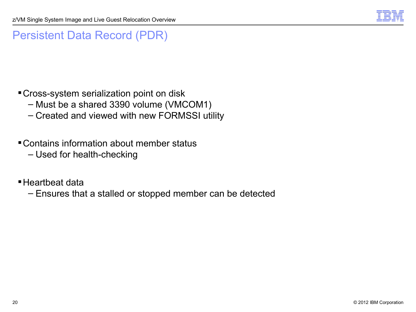

#### Persistent Data Record (PDR)

#### Cross-system serialization point on disk

- Must be a shared 3390 volume (VMCOM1)
- Created and viewed with new FORMSSI utility
- Contains information about member status
	- Used for health-checking

Heartbeat data

– Ensures that a stalled or stopped member can be detected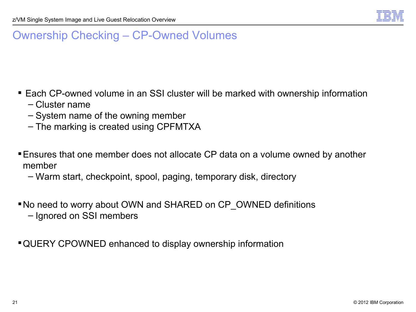

#### Ownership Checking – CP-Owned Volumes

- Each CP-owned volume in an SSI cluster will be marked with ownership information
	- Cluster name
	- System name of the owning member
	- The marking is created using CPFMTXA
- Ensures that one member does not allocate CP data on a volume owned by another member
	- Warm start, checkpoint, spool, paging, temporary disk, directory
- No need to worry about OWN and SHARED on CP\_OWNED definitions
	- Ignored on SSI members

QUERY CPOWNED enhanced to display ownership information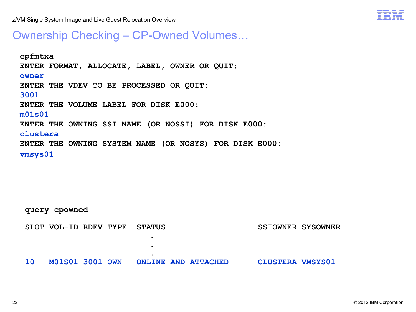

#### Ownership Checking – CP-Owned Volumes…

**cpfmtxa ENTER FORMAT, ALLOCATE, LABEL, OWNER OR QUIT: owner ENTER THE VDEV TO BE PROCESSED OR QUIT: 3001 ENTER THE VOLUME LABEL FOR DISK E000: m01s01 ENTER THE OWNING SSI NAME (OR NOSSI) FOR DISK E000: clustera ENTER THE OWNING SYSTEM NAME (OR NOSYS) FOR DISK E000: vmsys01**

| query cpowned |                        |  |  |               |                            |                  |                          |  |
|---------------|------------------------|--|--|---------------|----------------------------|------------------|--------------------------|--|
|               | SLOT VOL-ID RDEV TYPE  |  |  | <b>STATUS</b> |                            |                  | <b>SSIOWNER SYSOWNER</b> |  |
|               |                        |  |  |               |                            |                  |                          |  |
|               |                        |  |  | $\bullet$     |                            |                  |                          |  |
| 10            | <b>M01S01 3001 OWN</b> |  |  |               | <b>ONLINE AND ATTACHED</b> | CLUSTERA VMSYS01 |                          |  |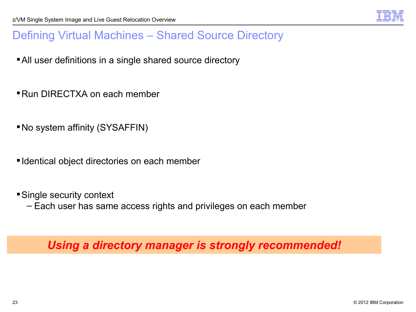

#### Defining Virtual Machines – Shared Source Directory

- All user definitions in a single shared source directory
- Run DIRECTXA on each member
- No system affinity (SYSAFFIN)
- **Identical object directories on each member**
- Single security context
	- Each user has same access rights and privileges on each member

*Using a directory manager is strongly recommended!*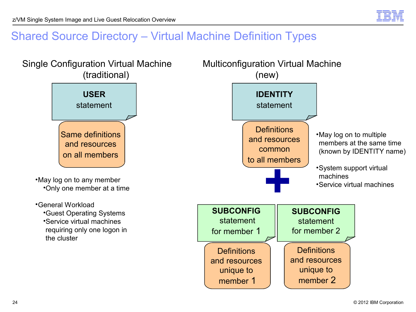

#### Shared Source Directory – Virtual Machine Definition Types

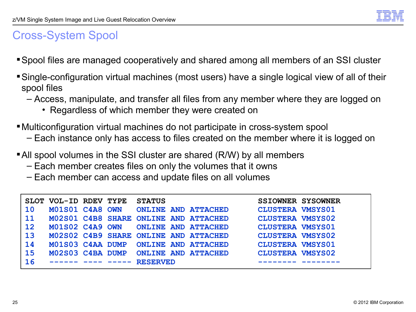

#### Cross-System Spool

- Spool files are managed cooperatively and shared among all members of an SSI cluster
- Single-configuration virtual machines (most users) have a single logical view of all of their spool files
	- Access, manipulate, and transfer all files from any member where they are logged on
		- Regardless of which member they were created on
- Multiconfiguration virtual machines do not participate in cross-system spool
	- Each instance only has access to files created on the member where it is logged on
- All spool volumes in the SSI cluster are shared (R/W) by all members
	- Each member creates files on only the volumes that it owns
	- Each member can access and update files on all volumes

|    | SLOT VOL-ID RDEV TYPE |  | <b>STATUS</b>   |                                       |                         | <b>SSIOWNER SYSOWNER</b> |  |
|----|-----------------------|--|-----------------|---------------------------------------|-------------------------|--------------------------|--|
| 10 |                       |  |                 | M01S01 C4A8 OWN ONLINE AND ATTACHED   | <b>CLUSTERA VMSYS01</b> |                          |  |
| 11 |                       |  |                 | M02S01 C4B8 SHARE ONLINE AND ATTACHED | <b>CLUSTERA VMSYS02</b> |                          |  |
| 12 |                       |  |                 | M01S02 C4A9 OWN ONLINE AND ATTACHED   | <b>CLUSTERA VMSYS01</b> |                          |  |
| 13 |                       |  |                 | M02S02 C4B9 SHARE ONLINE AND ATTACHED | <b>CLUSTERA VMSYS02</b> |                          |  |
| 14 | M01S03 C4AA DUMP      |  |                 | <b>ONLINE AND ATTACHED</b>            | <b>CLUSTERA VMSYS01</b> |                          |  |
| 15 | M02S03 C4BA DUMP      |  |                 | <b>ONLINE AND ATTACHED</b>            | <b>CLUSTERA VMSYS02</b> |                          |  |
| 16 |                       |  | <b>RESERVED</b> |                                       |                         |                          |  |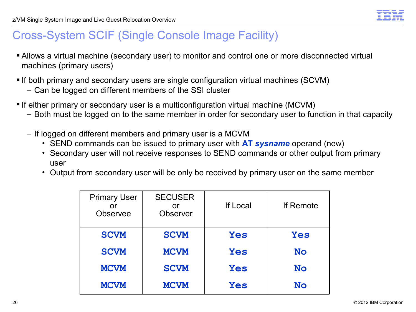### Cross-System SCIF (Single Console Image Facility)

- Allows a virtual machine (secondary user) to monitor and control one or more disconnected virtual machines (primary users)
- If both primary and secondary users are single configuration virtual machines (SCVM)
	- Can be logged on different members of the SSI cluster
- If either primary or secondary user is a multiconfiguration virtual machine (MCVM)
	- Both must be logged on to the same member in order for secondary user to function in that capacity
	- If logged on different members and primary user is a MCVM
		- SEND commands can be issued to primary user with **AT** *sysname* operand (new)
		- Secondary user will not receive responses to SEND commands or other output from primary user
		- Output from secondary user will be only be received by primary user on the same member

| <b>Primary User</b><br><b>Observee</b> | <b>SECUSER</b><br><b>Observer</b> | If Local   | If Remote |
|----------------------------------------|-----------------------------------|------------|-----------|
| <b>SCVM</b>                            | <b>SCVM</b>                       | <b>Yes</b> | Yes       |
| <b>SCVM</b>                            | <b>MCVM</b>                       | <b>Yes</b> | <b>No</b> |
| <b>MCVM</b>                            | <b>SCVM</b>                       | <b>Yes</b> | <b>No</b> |
| <b>MCVM</b>                            | <b>MCVM</b>                       | Yes        | No        |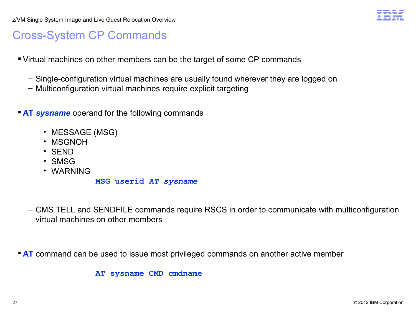

#### Cross-System CP Commands

- Virtual machines on other members can be the target of some CP commands
	- Single-configuration virtual machines are usually found wherever they are logged on
	- Multiconfiguration virtual machines require explicit targeting
- **AT sysname** operand for the following commands
	- MESSAGE (MSG)
	- MSGNOH
	- SEND
	- SMSG
	- WARNING

#### **MSG userid** *AT sysname*

- CMS TELL and SENDFILE commands require RSCS in order to communicate with multiconfiguration virtual machines on other members
- **AT** command can be used to issue most privileged commands on another active member

#### **AT sysname CMD cmdname**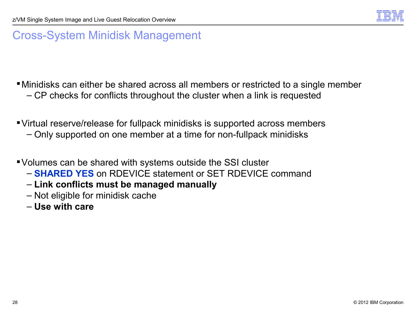

#### Cross-System Minidisk Management

- Minidisks can either be shared across all members or restricted to a single member
	- CP checks for conflicts throughout the cluster when a link is requested
- Virtual reserve/release for fullpack minidisks is supported across members
	- Only supported on one member at a time for non-fullpack minidisks
- Volumes can be shared with systems outside the SSI cluster
	- **SHARED YES** on RDEVICE statement or SET RDEVICE command
	- **Link conflicts must be managed manually**
	- Not eligible for minidisk cache
	- **Use with care**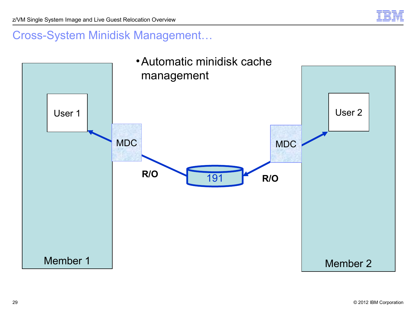

#### Cross-System Minidisk Management…

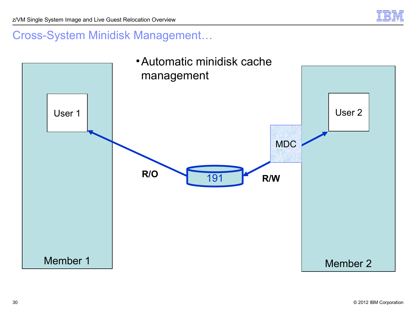

#### Cross-System Minidisk Management…

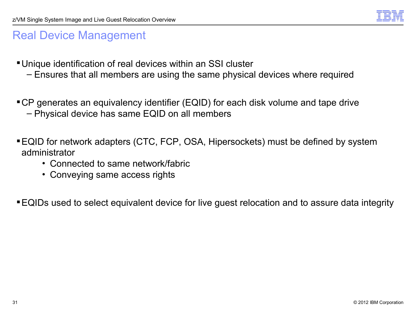

#### Real Device Management

- Unique identification of real devices within an SSI cluster
	- Ensures that all members are using the same physical devices where required
- CP generates an equivalency identifier (EQID) for each disk volume and tape drive
	- Physical device has same EQID on all members
- EQID for network adapters (CTC, FCP, OSA, Hipersockets) must be defined by system administrator
	- Connected to same network/fabric
	- Conveying same access rights

EQIDs used to select equivalent device for live guest relocation and to assure data integrity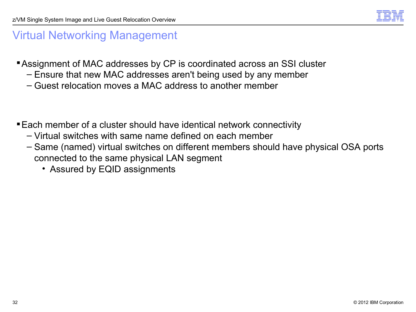

#### Virtual Networking Management

- Assignment of MAC addresses by CP is coordinated across an SSI cluster
	- Ensure that new MAC addresses aren't being used by any member
	- Guest relocation moves a MAC address to another member
- Each member of a cluster should have identical network connectivity
	- Virtual switches with same name defined on each member
	- Same (named) virtual switches on different members should have physical OSA ports connected to the same physical LAN segment
		- Assured by EQID assignments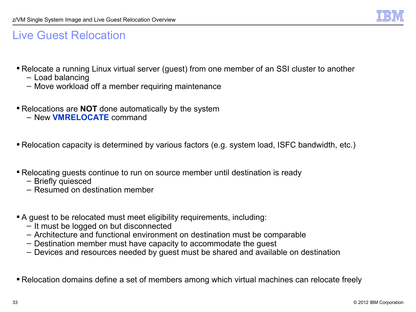

#### Live Guest Relocation

- Relocate a running Linux virtual server (guest) from one member of an SSI cluster to another
	- Load balancing
	- Move workload off a member requiring maintenance
- Relocations are **NOT** done automatically by the system
	- New **VMRELOCATE** command
- Relocation capacity is determined by various factors (e.g. system load, ISFC bandwidth, etc.)
- Relocating guests continue to run on source member until destination is ready
	- Briefly quiesced
	- Resumed on destination member
- A guest to be relocated must meet eligibility requirements, including:
	- It must be logged on but disconnected
	- Architecture and functional environment on destination must be comparable
	- Destination member must have capacity to accommodate the guest
	- Devices and resources needed by guest must be shared and available on destination
- Relocation domains define a set of members among which virtual machines can relocate freely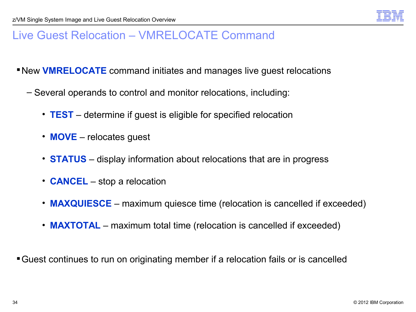

#### Live Guest Relocation – VMRELOCATE Command

- New **VMRELOCATE** command initiates and manages live guest relocations
	- Several operands to control and monitor relocations, including:
		- **TEST** determine if guest is eligible for specified relocation
		- **MOVE** relocates guest
		- **STATUS** display information about relocations that are in progress
		- **CANCEL** stop a relocation
		- **MAXQUIESCE** maximum quiesce time (relocation is cancelled if exceeded)
		- **MAXTOTAL** maximum total time (relocation is cancelled if exceeded)
- Guest continues to run on originating member if a relocation fails or is cancelled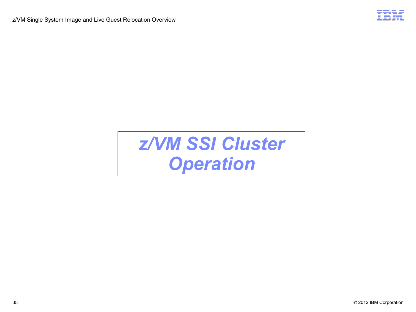

*z/VM SSI Cluster Operation*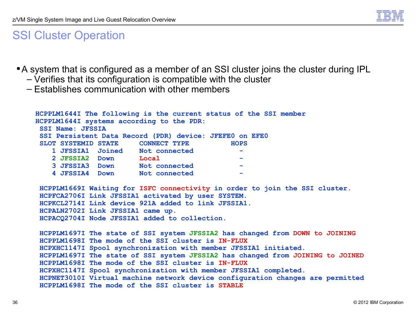

#### SSI Cluster Operation

- A system that is configured as a member of an SSI cluster joins the cluster during IPL
	- Verifies that its configuration is compatible with the cluster
	- Establishes communication with other members

```
HCPPLM1644I The following is the current status of the SSI member 
HCPPLM1644I systems according to the PDR: 
 SSI Name: JFSSIA 
 SSI Persistent Data Record (PDR) device: JFEFE0 on EFE0 
 SLOT SYSTEMID STATE CONNECT TYPE HOPS 
    1 JFSSIA1 Joined Not connected
    2 JFSSIA2 Down Local
    3 JFSSIA3 Down Not connected
    4 JFSSIA4 Down Not connected
HCPPLM1669I Waiting for ISFC connectivity in order to join the SSI cluster. 
 HCPFCA2706I Link JFSSIA1 activated by user SYSTEM. 
 HCPKCL2714I Link device 921A added to link JFSSIA1. 
 HCPALN2702I Link JFSSIA1 came up. 
 HCPACQ2704I Node JFSSIA1 added to collection. 
 HCPPLM1697I The state of SSI system JFSSIA2 has changed from DOWN to JOINING 
 HCPPLM1698I The mode of the SSI cluster is IN-FLUX 
 HCPXHC1147I Spool synchronization with member JFSSIA1 initiated. 
 HCPPLM1697I The state of SSI system JFSSIA2 has changed from JOINING to JOINED
 HCPPLM1698I The mode of the SSI cluster is IN-FLUX 
 HCPXHC1147I Spool synchronization with member JFSSIA1 completed. 
 HCPNET3010I Virtual machine network device configuration changes are permitted 
 HCPPLM1698I The mode of the SSI cluster is STABLE
```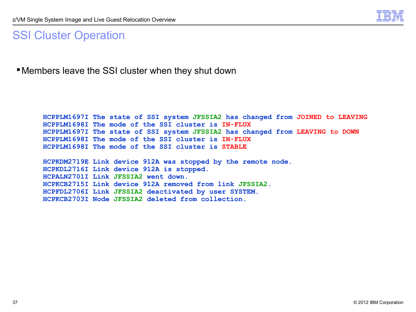

#### SSI Cluster Operation

Members leave the SSI cluster when they shut down

**HCPPLM1697I The state of SSI system JFSSIA2 has changed from JOINED to LEAVING HCPPLM1698I The mode of the SSI cluster is IN-FLUX HCPPLM1697I The state of SSI system JFSSIA2 has changed from LEAVING to DOWN HCPPLM1698I The mode of the SSI cluster is IN-FLUX HCPPLM1698I The mode of the SSI cluster is STABLE** 

**HCPKDM2719E Link device 912A was stopped by the remote node. HCPKDL2716I Link device 912A is stopped. HCPALN2701I Link JFSSIA2 went down. HCPKCB2715I Link device 912A removed from link JFSSIA2. HCPFDL2706I Link JFSSIA2 deactivated by user SYSTEM. HCPKCB2703I Node JFSSIA2 deleted from collection.**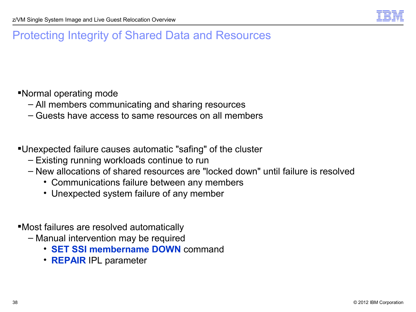

### Protecting Integrity of Shared Data and Resources

#### Normal operating mode

- All members communicating and sharing resources
- Guests have access to same resources on all members
- Unexpected failure causes automatic "safing" of the cluster
	- Existing running workloads continue to run
	- New allocations of shared resources are "locked down" until failure is resolved
		- Communications failure between any members
		- Unexpected system failure of any member

Most failures are resolved automatically

- Manual intervention may be required
	- **SET SSI membername DOWN** command
	- **REPAIR** IPL parameter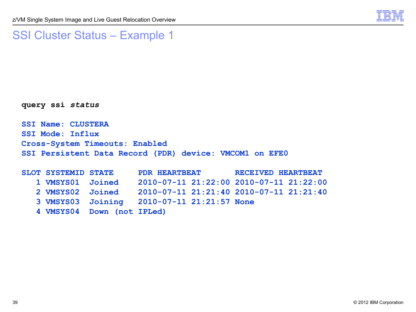

#### SSI Cluster Status – Example 1

```
query ssi status
SSI Name: CLUSTERA
SSI Mode: Influx
Cross-System Timeouts: Enabled
SSI Persistent Data Record (PDR) device: VMCOM1 on EFE0
SLOT SYSTEMID STATE PDR HEARTBEAT RECEIVED HEARTBEAT
    1 VMSYS01 Joined 2010-07-11 21:22:00 2010-07-11 21:22:00
    2 VMSYS02 Joined 2010-07-11 21:21:40 2010-07-11 21:21:40 
    3 VMSYS03 Joining 2010-07-11 21:21:57 None 
    4 VMSYS04 Down (not IPLed)
```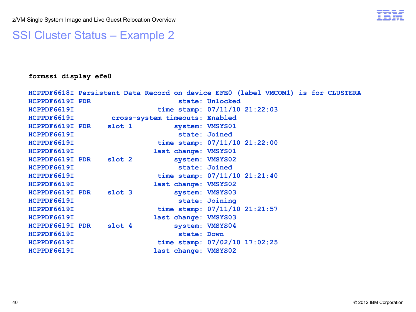

#### SSI Cluster Status – Example 2

#### **formssi display efe0**

|                 | HCPPDF6618I Persistent Data Record on device EFE0 (label VMCOM1) is for CLUSTERA |                                 |                 |  |  |
|-----------------|----------------------------------------------------------------------------------|---------------------------------|-----------------|--|--|
| HCPPDF6619I PDR |                                                                                  |                                 | state: Unlocked |  |  |
| HCPPDF6619I     |                                                                                  | time stamp: $07/11/10$ 21:22:03 |                 |  |  |
| HCPPDF6619I     |                                                                                  | cross-system timeouts: Enabled  |                 |  |  |
| HCPPDF6619I PDR | slot 1                                                                           | system: VMSYS01                 |                 |  |  |
| HCPPDF6619I     |                                                                                  |                                 | state: Joined   |  |  |
| HCPPDF6619I     |                                                                                  | time stamp: $07/11/10$ 21:22:00 |                 |  |  |
| HCPPDF6619I     |                                                                                  | last change: VMSYS01            |                 |  |  |
| HCPPDF6619I PDR | slot 2                                                                           |                                 | system: VMSYS02 |  |  |
| HCPPDF6619I     |                                                                                  |                                 | state: Joined   |  |  |
| HCPPDF6619I     |                                                                                  | time stamp: $07/11/10$ 21:21:40 |                 |  |  |
| HCPPDF6619I     |                                                                                  | last change: VMSYS02            |                 |  |  |
|                 | HCPPDF6619I PDR slot 3                                                           | system: VMSYS03                 |                 |  |  |
| HCPPDF6619I     |                                                                                  |                                 | state: Joining  |  |  |
| HCPPDF6619I     |                                                                                  | time stamp: $07/11/10$ 21:21:57 |                 |  |  |
| HCPPDF6619I     |                                                                                  | last change: VMSYS03            |                 |  |  |
| HCPPDF6619I PDR | slot 4                                                                           | system: VMSYS04                 |                 |  |  |
| HCPPDF6619I     |                                                                                  | state: Down                     |                 |  |  |
| HCPPDF6619I     |                                                                                  | time stamp: $07/02/10$ 17:02:25 |                 |  |  |
| HCPPDF6619I     |                                                                                  | last change: VMSYS02            |                 |  |  |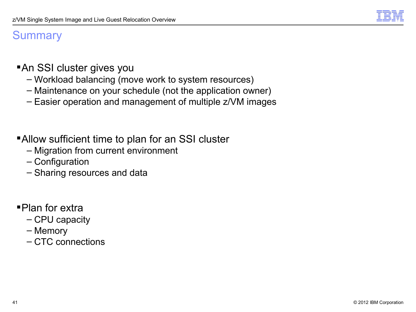

#### **Summary**

- An SSI cluster gives you
	- Workload balancing (move work to system resources)
	- Maintenance on your schedule (not the application owner)
	- Easier operation and management of multiple z/VM images
- Allow sufficient time to plan for an SSI cluster
	- Migration from current environment
	- Configuration
	- Sharing resources and data
- Plan for extra
	- CPU capacity
	- Memory
	- CTC connections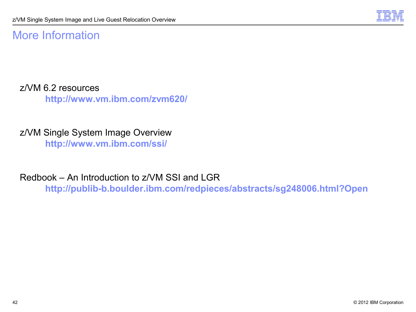

#### More Information

z/VM 6.2 resources **[http://www.vm.ib](http://www.vm.ib/)[m.com/zvm620/](http://www.vm.ibm.com/zvm620/)**

z/VM Single System Image Overview **<http://www.vm.ibm.com/ssi/>**

Redbook – An Introduction to z/VM SSI and LGR **<http://publib-b.boulder.ibm.com/redpieces/abstracts/sg248006.html?Open>**